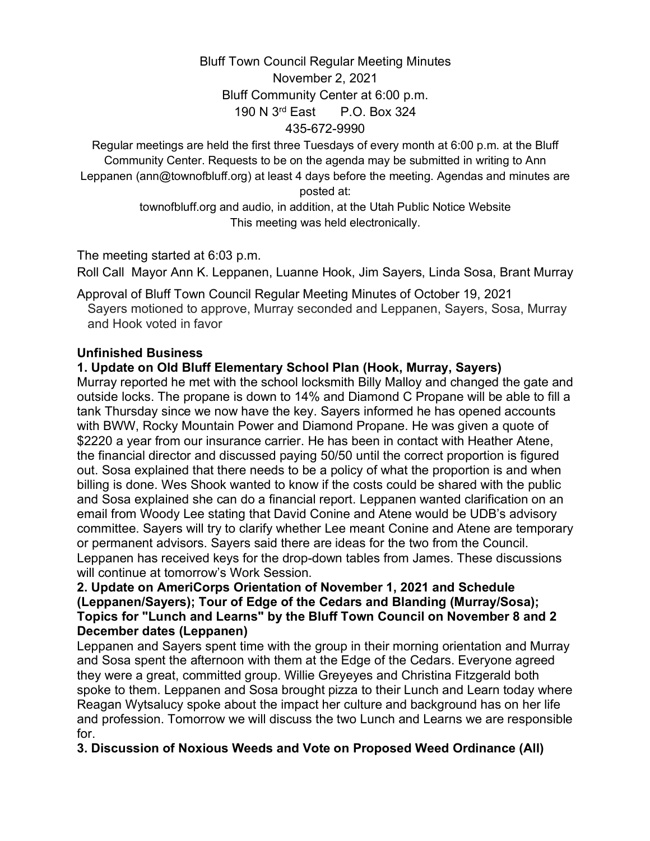# Bluff Town Council Regular Meeting Minutes November 2, 2021 Bluff Community Center at 6:00 p.m. 190 N 3rd East P.O. Box 324 435-672-9990

Regular meetings are held the first three Tuesdays of every month at 6:00 p.m. at the Bluff Community Center. Requests to be on the agenda may be submitted in writing to Ann Leppanen (ann@townofbluff.org) at least 4 days before the meeting. Agendas and minutes are posted at:

> townofbluff.org and audio, in addition, at the Utah Public Notice Website This meeting was held electronically.

The meeting started at 6:03 p.m.

Roll Call Mayor Ann K. Leppanen, Luanne Hook, Jim Sayers, Linda Sosa, Brant Murray

Approval of Bluff Town Council Regular Meeting Minutes of October 19, 2021 Sayers motioned to approve, Murray seconded and Leppanen, Sayers, Sosa, Murray and Hook voted in favor

#### **Unfinished Business**

## **1. Update on Old Bluff Elementary School Plan (Hook, Murray, Sayers)**

Murray reported he met with the school locksmith Billy Malloy and changed the gate and outside locks. The propane is down to 14% and Diamond C Propane will be able to fill a tank Thursday since we now have the key. Sayers informed he has opened accounts with BWW, Rocky Mountain Power and Diamond Propane. He was given a quote of \$2220 a year from our insurance carrier. He has been in contact with Heather Atene, the financial director and discussed paying 50/50 until the correct proportion is figured out. Sosa explained that there needs to be a policy of what the proportion is and when billing is done. Wes Shook wanted to know if the costs could be shared with the public and Sosa explained she can do a financial report. Leppanen wanted clarification on an email from Woody Lee stating that David Conine and Atene would be UDB's advisory committee. Sayers will try to clarify whether Lee meant Conine and Atene are temporary or permanent advisors. Sayers said there are ideas for the two from the Council. Leppanen has received keys for the drop-down tables from James. These discussions will continue at tomorrow's Work Session.

#### **2. Update on AmeriCorps Orientation of November 1, 2021 and Schedule (Leppanen/Sayers); Tour of Edge of the Cedars and Blanding (Murray/Sosa); Topics for "Lunch and Learns" by the Bluff Town Council on November 8 and 2 December dates (Leppanen)**

Leppanen and Sayers spent time with the group in their morning orientation and Murray and Sosa spent the afternoon with them at the Edge of the Cedars. Everyone agreed they were a great, committed group. Willie Greyeyes and Christina Fitzgerald both spoke to them. Leppanen and Sosa brought pizza to their Lunch and Learn today where Reagan Wytsalucy spoke about the impact her culture and background has on her life and profession. Tomorrow we will discuss the two Lunch and Learns we are responsible for.

**3. Discussion of Noxious Weeds and Vote on Proposed Weed Ordinance (All)**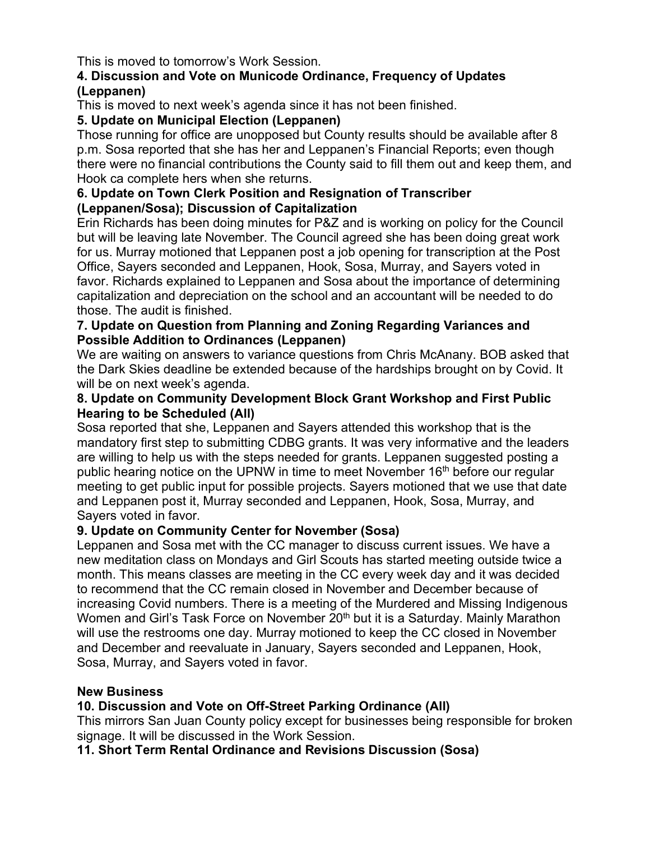This is moved to tomorrow's Work Session.

### **4. Discussion and Vote on Municode Ordinance, Frequency of Updates (Leppanen)**

This is moved to next week's agenda since it has not been finished.

# **5. Update on Municipal Election (Leppanen)**

Those running for office are unopposed but County results should be available after 8 p.m. Sosa reported that she has her and Leppanen's Financial Reports; even though there were no financial contributions the County said to fill them out and keep them, and Hook ca complete hers when she returns.

### **6. Update on Town Clerk Position and Resignation of Transcriber (Leppanen/Sosa); Discussion of Capitalization**

Erin Richards has been doing minutes for P&Z and is working on policy for the Council but will be leaving late November. The Council agreed she has been doing great work for us. Murray motioned that Leppanen post a job opening for transcription at the Post Office, Sayers seconded and Leppanen, Hook, Sosa, Murray, and Sayers voted in favor. Richards explained to Leppanen and Sosa about the importance of determining capitalization and depreciation on the school and an accountant will be needed to do those. The audit is finished.

## **7. Update on Question from Planning and Zoning Regarding Variances and Possible Addition to Ordinances (Leppanen)**

We are waiting on answers to variance questions from Chris McAnany. BOB asked that the Dark Skies deadline be extended because of the hardships brought on by Covid. It will be on next week's agenda.

## **8. Update on Community Development Block Grant Workshop and First Public Hearing to be Scheduled (All)**

Sosa reported that she, Leppanen and Sayers attended this workshop that is the mandatory first step to submitting CDBG grants. It was very informative and the leaders are willing to help us with the steps needed for grants. Leppanen suggested posting a public hearing notice on the UPNW in time to meet November  $16<sup>th</sup>$  before our regular meeting to get public input for possible projects. Sayers motioned that we use that date and Leppanen post it, Murray seconded and Leppanen, Hook, Sosa, Murray, and Sayers voted in favor.

# **9. Update on Community Center for November (Sosa)**

Leppanen and Sosa met with the CC manager to discuss current issues. We have a new meditation class on Mondays and Girl Scouts has started meeting outside twice a month. This means classes are meeting in the CC every week day and it was decided to recommend that the CC remain closed in November and December because of increasing Covid numbers. There is a meeting of the Murdered and Missing Indigenous Women and Girl's Task Force on November 20<sup>th</sup> but it is a Saturday. Mainly Marathon will use the restrooms one day. Murray motioned to keep the CC closed in November and December and reevaluate in January, Sayers seconded and Leppanen, Hook, Sosa, Murray, and Sayers voted in favor.

# **New Business**

# **10. Discussion and Vote on Off-Street Parking Ordinance (All)**

This mirrors San Juan County policy except for businesses being responsible for broken signage. It will be discussed in the Work Session.

**11. Short Term Rental Ordinance and Revisions Discussion (Sosa)**